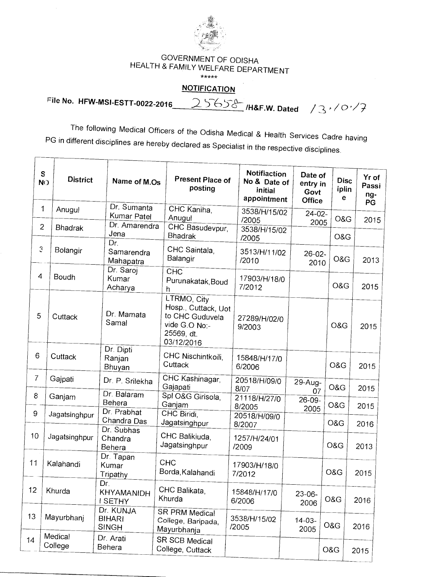

## GOVERNMENT OF ODISHA HEALTH & FAMILY WELFARE DEPARTMENT

 $*****$ 

## **NOTIFICATION**

**pile No. HFW-MSI-ESTT-0022-2016** 

25658 Har.w. Dated 13<sup>,10.1</sup>7

The following Medical Officers of the Odisha Medical & Health Services Cadre having PG in different disciplines are hereby declared as Specialist in the respective disciplines.

|                                             | S<br><b>District</b><br><b>NO</b> | Name of M.Os                               | <b>Present Place of</b><br>posting                                                                 | Notifiaction<br>No & Date of<br>initial<br>appointment | Date of<br>entry in<br>Govt<br><b>Office</b> | <b>Disc</b><br>iplin<br>е | Yr of<br>Passi<br>ng-<br>PG |
|---------------------------------------------|-----------------------------------|--------------------------------------------|----------------------------------------------------------------------------------------------------|--------------------------------------------------------|----------------------------------------------|---------------------------|-----------------------------|
|                                             | 1<br>Anugul                       | Dr. Sumanta<br>Kumar Patel                 | CHC Kaniha,<br>Anugul                                                                              | 3538/H/15/02<br>/2005                                  | $24 - 02 -$<br>2005                          | O&G                       | 2015                        |
| $\overline{2}$                              | <b>Bhadrak</b>                    | Dr. Amarendra<br>Jena<br>Dr.               | CHC Basudevpur,<br><b>Bhadrak</b>                                                                  | 3538/H/15/02<br>/2005                                  |                                              | O&G                       |                             |
| $\mathfrak{S}% _{A}^{\ast}(\mathbb{R}^{2})$ | Bolangir                          | Samarendra<br>Mahapatra                    | CHC Saintala,<br>Balangir                                                                          | 3513/H/11/02<br>/2010                                  | $26 - 02 -$<br>2010                          | O&G                       | 2013                        |
| 4                                           | Boudh                             | Dr. Saroj<br>Kumar<br>Acharya              | CHC<br>Purunakatak, Boud<br>h                                                                      | 17903/H/18/0<br>7/2012                                 |                                              | O&G                       | 2015                        |
| 5                                           | Cuttack                           | Dr. Mamata<br>Samal                        | LTRMO, City<br>Hosp., Cuttack, Uot<br>to CHC Guduvela<br>vide G.O No:-<br>25569, dt.<br>03/12/2016 | 27289/H/02/0<br>9/2003                                 |                                              | O&G                       | 2015                        |
| 6                                           | Cuttack                           | Dr. Dipti<br>Ranjan<br>Bhuyan              | CHC Nischintkoili,<br>Cuttack                                                                      | 15848/H/17/0<br>6/2006                                 |                                              | O&G                       | 2015                        |
| 7                                           | Gajpati                           | Dr. P. Srilekha                            | CHC Kashinagar,<br>Gajapati                                                                        | 20518/H/09/0<br>8/07                                   | 29-Aug-<br>07                                | O&G                       | 2015                        |
| 8                                           | Ganjam                            | Dr. Balaram<br>Behera<br>Dr. Prabhat       | Spl O&G Girisola,<br>Ganjam                                                                        | 21118/H/27/0<br>8/2005                                 | 26-09-<br>2005                               | O&G                       | 2015                        |
| 9                                           | Jagatsinghpur                     | Chandra Das<br>Dr. Subhas                  | CHC Biridi.<br>Jagatsinghpur                                                                       | 20518/H/09/0<br>8/2007                                 |                                              | O&G                       | 2016                        |
| 10                                          | Jagatsinghpur                     | Chandra<br>Behera                          | CHC Balikiuda,<br>Jagatsinghpur                                                                    | 1257/H/24/01<br>/2009                                  |                                              | O&G                       | 2013                        |
| 11                                          | Kalahandi                         | Dr. Tapan<br>Kumar<br>Tripathy             | <b>CHC</b><br>Borda, Kalahandi                                                                     | 17903/H/18/0<br>7/2012                                 |                                              | O&G                       | 2015                        |
| 12                                          | Khurda                            | Dr.<br>KHYAMANIDH<br>I SETHY               | CHC Balikata,<br>Khurda                                                                            | 15848/H/17/0<br>6/2006                                 | $23-06-$<br>2006                             | O&G                       | 2016                        |
| 13                                          | Mayurbhani                        | Dr. KUNJA<br><b>BIHARI</b><br><b>SINGH</b> | <b>SR PRM Medical</b><br>College, Baripada,<br>Mayurbhanja                                         | 3538/H/15/02<br>/2005                                  | $14 - 03 -$<br>2005                          | O&G                       | 2016                        |
| 14                                          | Medical<br>College                | Dr. Arati<br>Behera                        | SR SCB Medical<br>College, Cuttack                                                                 |                                                        |                                              | O&G                       | 2015                        |